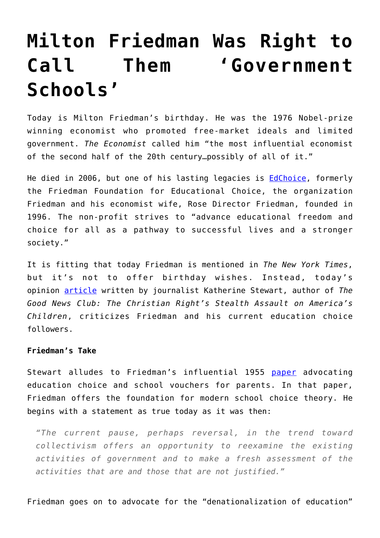# **[Milton Friedman Was Right to](https://intellectualtakeout.org/2017/07/milton-friedman-was-right-to-call-them-government-schools/) [Call Them 'Government](https://intellectualtakeout.org/2017/07/milton-friedman-was-right-to-call-them-government-schools/) [Schools'](https://intellectualtakeout.org/2017/07/milton-friedman-was-right-to-call-them-government-schools/)**

Today is Milton Friedman's birthday. He was the 1976 Nobel-prize winning economist who promoted free-market ideals and limited government. *The Economist* called him "the most influential economist of the second half of the 20th century…possibly of all of it."

He died in 2006, but one of his lasting legacies is [EdChoice,](https://www.edchoice.org/) formerly the Friedman Foundation for Educational Choice, the organization Friedman and his economist wife, Rose Director Friedman, founded in 1996. The non-profit strives to "advance educational freedom and choice for all as a pathway to successful lives and a stronger society."

It is fitting that today Friedman is mentioned in *The New York Times*, but it's not to offer birthday wishes. Instead, today's opinion [article](https://www.nytimes.com/2017/07/31/opinion/donald-trump-school-choice-criticism.html?_r=0) written by journalist Katherine Stewart, author of *The Good News Club: The Christian Right's Stealth Assault on America's Children*, criticizes Friedman and his current education choice followers.

# **Friedman's Take**

Stewart alludes to Friedman's influential 1955 [paper](https://www.utexas.edu/cola) advocating education choice and school vouchers for parents. In that paper, Friedman offers the foundation for modern school choice theory. He begins with a statement as true today as it was then:

*"The current pause, perhaps reversal, in the trend toward collectivism offers an opportunity to reexamine the existing activities of government and to make a fresh assessment of the activities that are and those that are not justified."*

Friedman goes on to advocate for the "denationalization of education"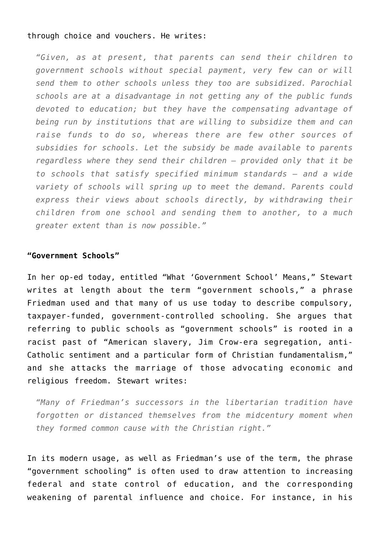#### through choice and vouchers. He writes:

*"Given, as at present, that parents can send their children to government schools without special payment, very few can or will send them to other schools unless they too are subsidized. Parochial schools are at a disadvantage in not getting any of the public funds devoted to education; but they have the compensating advantage of being run by institutions that are willing to subsidize them and can raise funds to do so, whereas there are few other sources of subsidies for schools. Let the subsidy be made available to parents regardless where they send their children – provided only that it be to schools that satisfy specified minimum standards – and a wide variety of schools will spring up to meet the demand. Parents could express their views about schools directly, by withdrawing their children from one school and sending them to another, to a much greater extent than is now possible."*

## **"Government Schools"**

In her op-ed today, entitled "What 'Government School' Means," Stewart writes at length about the term "government schools," a phrase Friedman used and that many of us use today to describe compulsory, taxpayer-funded, government-controlled schooling. She argues that referring to public schools as "government schools" is rooted in a racist past of "American slavery, Jim Crow-era segregation, anti-Catholic sentiment and a particular form of Christian fundamentalism," and she attacks the marriage of those advocating economic and religious freedom. Stewart writes:

*"Many of Friedman's successors in the libertarian tradition have forgotten or distanced themselves from the midcentury moment when they formed common cause with the Christian right."*

In its modern usage, as well as Friedman's use of the term, the phrase "government schooling" is often used to draw attention to increasing federal and state control of education, and the corresponding weakening of parental influence and choice. For instance, in his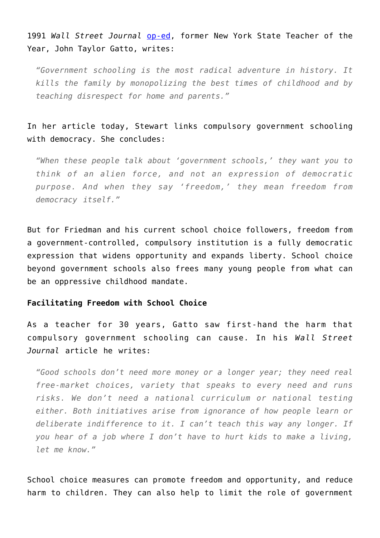1991 *Wall Street Journal* [op-ed](http://www.educationrevolution.org/blog/i-quit-i-think/), former New York State Teacher of the Year, John Taylor Gatto, writes:

*"Government schooling is the most radical adventure in history. It kills the family by monopolizing the best times of childhood and by teaching disrespect for home and parents."*

In her article today, Stewart links compulsory government schooling with democracy. She concludes:

*"When these people talk about 'government schools,' they want you to think of an alien force, and not an expression of democratic purpose. And when they say 'freedom,' they mean freedom from democracy itself."*

But for Friedman and his current school choice followers, freedom from a government-controlled, compulsory institution is a fully democratic expression that widens opportunity and expands liberty. School choice beyond government schools also frees many young people from what can be an oppressive childhood mandate.

## **Facilitating Freedom with School Choice**

As a teacher for 30 years, Gatto saw first-hand the harm that compulsory government schooling can cause. In his *Wall Street Journal* article he writes:

*"Good schools don't need more money or a longer year; they need real free-market choices, variety that speaks to every need and runs risks. We don't need a national curriculum or national testing either. Both initiatives arise from ignorance of how people learn or deliberate indifference to it. I can't teach this way any longer. If you hear of a job where I don't have to hurt kids to make a living, let me know."*

School choice measures can promote freedom and opportunity, and reduce harm to children. They can also help to limit the role of government